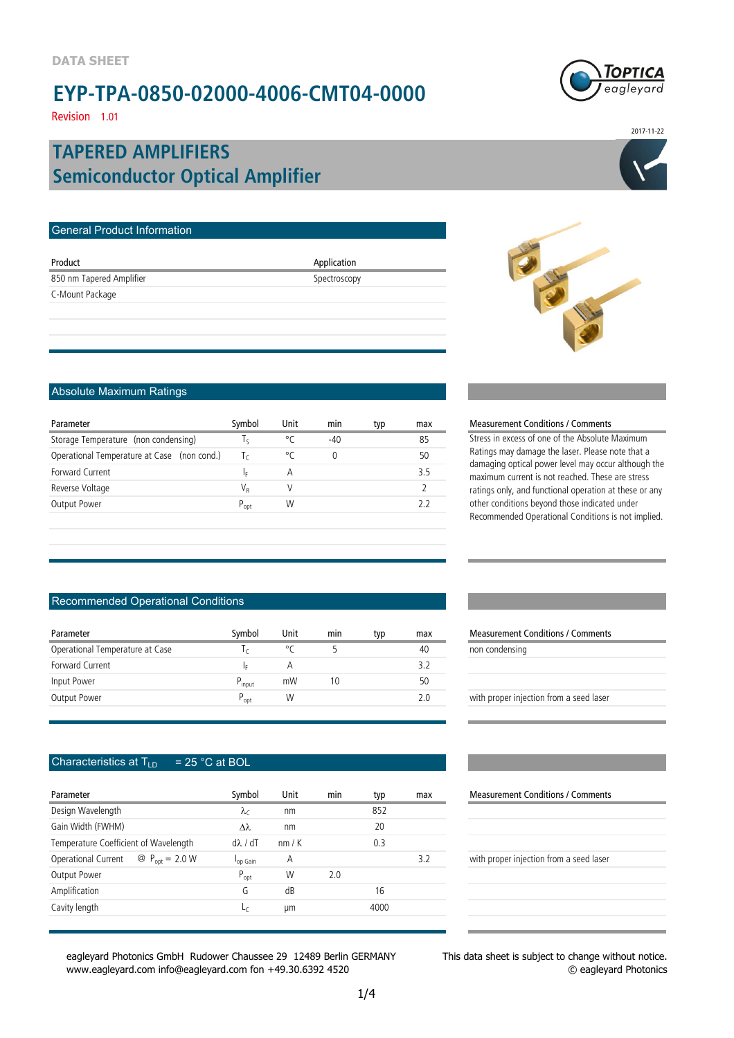

2017-11-22

Revision 1.01

### **Semiconductor Optical Amplifier TAPERED AMPLIFIERS**

| General Product Information |              |  |
|-----------------------------|--------------|--|
| Product                     | Application  |  |
| 850 nm Tapered Amplifier    | Spectroscopy |  |
| C-Mount Package             |              |  |
|                             |              |  |
|                             |              |  |

#### Absolute Maximum Ratings

| Parameter                                   | Symbol       | Unit | min   | typ | max |
|---------------------------------------------|--------------|------|-------|-----|-----|
| Storage Temperature (non condensing)        | l c          | ٥٢   | $-40$ |     | 85  |
| Operational Temperature at Case (non cond.) | $\mathsf{L}$ | ۰ς   | 0     |     | 50  |
| Forward Current                             | Iε           | А    |       |     | 35  |
| Reverse Voltage                             | VR           |      |       |     |     |
| Output Power                                | $P_{opt}$    | W    |       |     |     |
|                                             |              |      |       |     |     |

#### Measurement Conditions / Comments

Stress in excess of one of the Absolute Maximum Ratings may damage the laser. Please note that a damaging optical power level may occur although the maximum current is not reached. These are stress ratings only, and functional operation at these or any other conditions beyond those indicated under Recommended Operational Conditions is not implied.

#### Recommended Operational Conditions

| Parameter                       | Svmbol             | Unit | min | typ | max | <b>Measurement Conditions / Comments</b> |
|---------------------------------|--------------------|------|-----|-----|-----|------------------------------------------|
| Operational Temperature at Case |                    | °C   |     |     | 40  | non condensing                           |
| Forward Current                 | I۵                 | Α    |     |     | 3.2 |                                          |
| Input Power                     | P <sub>input</sub> | mW   | 10  |     | 50  |                                          |
| Output Power                    | $P_{opt}$          | W    |     |     | 2.0 | with proper injection from a seed laser  |

#### Characteristics at  $T_{LD}$  = 25 °C at BOL

| Parameter                                                                | Symbol               | Unit | min | typ  | max | <b>Measurement Conditions / Comment</b> |
|--------------------------------------------------------------------------|----------------------|------|-----|------|-----|-----------------------------------------|
| Design Wavelength                                                        | $\lambda_c$          | nm   |     | 852  |     |                                         |
| Gain Width (FWHM)                                                        | Δλ                   | nm   |     | 20   |     |                                         |
| Temperature Coefficient of Wavelength                                    | $d\lambda/dT$        | nm/K |     | 0.3  |     |                                         |
| $\textcircled{2}$ P <sub>ont</sub> = 2.0 W<br><b>Operational Current</b> | l <sub>op Gain</sub> | Α    |     |      | 3.2 | with proper injection from a seed laser |
| Output Power                                                             | $P_{opt}$            | W    | 2.0 |      |     |                                         |
| Amplification                                                            | G                    | dB   |     | 16   |     |                                         |
| Cavity length                                                            | Lς                   | um   |     | 4000 |     |                                         |
|                                                                          |                      |      |     |      |     |                                         |

eagleyard Photonics GmbH Rudower Chaussee 29 12489 Berlin GERMANY www.eagleyard.com info@eagleyard.com fon +49.30.6392 4520

| Measurement Conditions / Comments       |  |  |  |  |  |
|-----------------------------------------|--|--|--|--|--|
| non condensing                          |  |  |  |  |  |
|                                         |  |  |  |  |  |
|                                         |  |  |  |  |  |
| with proper injection from a seed laser |  |  |  |  |  |
|                                         |  |  |  |  |  |

#### **Measurement Conditions / Comments**

| with proper injection from a seed laser |  |  |  |
|-----------------------------------------|--|--|--|
|                                         |  |  |  |

This data sheet is subject to change without notice. © eagleyard Photonics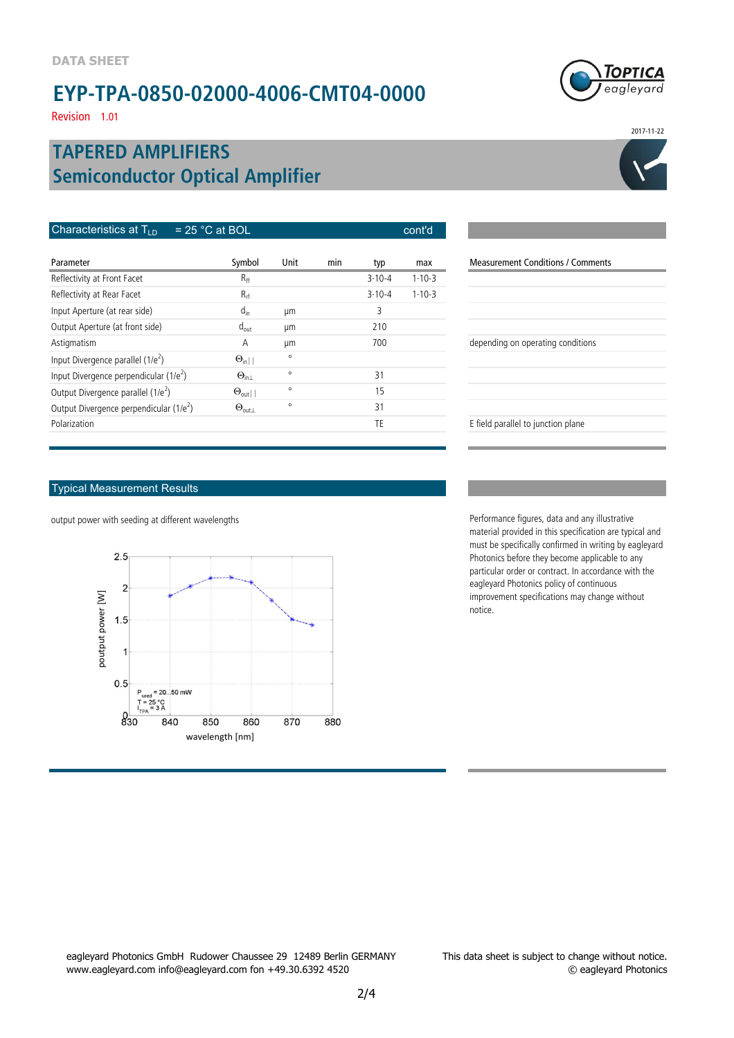Revision 1.01

### **Semiconductor Optical Amplifier TAPERED AMPLIFIERS**

| Characteristics at $T_{\text{LD}}$<br>$= 25 °C$ at BOL | cont'd                |         |     |            |              |
|--------------------------------------------------------|-----------------------|---------|-----|------------|--------------|
| Parameter                                              | Symbol                | Unit    | min | typ        | max          |
| Reflectivity at Front Facet                            | R <sub>ff</sub>       |         |     | $3.10 - 4$ | $1-10-3$     |
| Reflectivity at Rear Facet                             | $R_{rf}$              |         |     | $3.10 - 4$ | $1 - 10 - 3$ |
| Input Aperture (at rear side)                          | $d_{in}$              | μm      |     | 3          |              |
| Output Aperture (at front side)                        | $d_{out}$             | μm      |     | 210        |              |
| Astigmatism                                            | A                     | μm      |     | 700        |              |
| Input Divergence parallel (1/e <sup>2</sup> )          | $\Theta_{\text{in}}$  | $\circ$ |     |            |              |
| Input Divergence perpendicular $(1/e^2)$               | $\Theta_{\ln 1}$      | $\circ$ |     | 31         |              |
| Output Divergence parallel (1/e <sup>2</sup> )         | $\Theta_{\text{out}}$ | $\circ$ |     | 15         |              |
| Output Divergence perpendicular (1/e <sup>2</sup> )    | $\Theta_{\text{out}}$ | $\circ$ |     | 31         |              |
| Polarization                                           |                       |         |     | TE         |              |

#### Typical Measurement Results

output power with seeding at different wavelengths Performance figures, data and any illustrative



Measurement Conditions / Comments depending on operating conditions E field parallel to junction plane

material provided in this specification are typical and must be specifically confirmed in writing by eagleyard Photonics before they become applicable to any particular order or contract. In accordance with the eagleyard Photonics policy of continuous improvement specifications may change without notice.

eagleyard Photonics GmbH Rudower Chaussee 29 12489 Berlin GERMANY www.eagleyard.com info@eagleyard.com fon +49.30.6392 4520





2017-11-22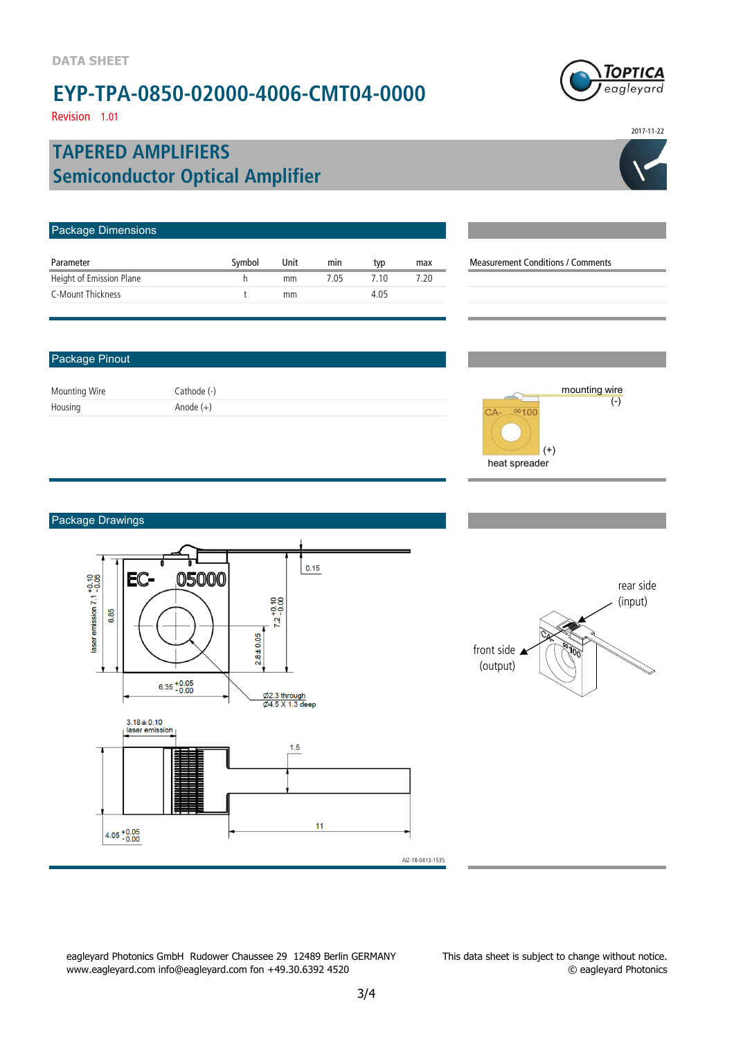Revision 1.01

### **Semiconductor Optical Amplifier TAPERED AMPLIFIERS**

| Package Dimensions       |        |      |      |      |      |                                          |
|--------------------------|--------|------|------|------|------|------------------------------------------|
| Parameter                | Symbol | Unit | min  | typ  | max  | <b>Measurement Conditions / Comments</b> |
| Height of Emission Plane | h      | mm   | 7.05 | 7.10 | 7.20 |                                          |
| C-Mount Thickness        |        | mm   |      | 4.05 |      |                                          |
|                          |        |      |      |      |      |                                          |
|                          |        |      |      |      |      |                                          |

#### Package Pinout

Mounting Wire Cathode (-) Housing Anode (+)



#### Package Drawings



eagleyard Photonics GmbH Rudower Chaussee 29 12489 Berlin GERMANY www.eagleyard.com info@eagleyard.com fon +49.30.6392 4520

This data sheet is subject to change without notice. © eagleyard Photonics